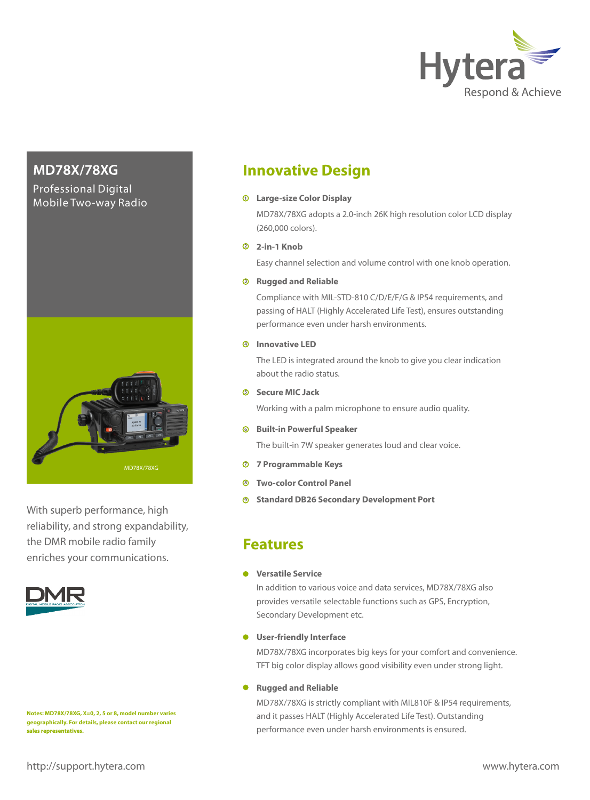

### Professional Digital Mobile Two-way Radio



With superb performance, high reliability, and strong expandability, the DMR mobile radio family enriches your communications.



**Notes: MD78X/78XG, X=0, 2, 5 or 8, model number varies geographically. For details, please contact our regional sales representatives.**

# **MD78X/78XG Innovative Design**

### **Large-size Color Display**

MD78X/78XG adopts a 2.0-inch 26K high resolution color LCD display (260,000 colors).

### **2-in-1 Knob 2**

Easy channel selection and volume control with one knob operation.

### **Rugged and Reliable 3**

Compliance with MIL-STD-810 C/D/E/F/G & IP54 requirements, and passing of HALT (Highly Accelerated Life Test), ensures outstanding performance even under harsh environments.

### **Innovative LED 4**

The LED is integrated around the knob to give you clear indication about the radio status.

### **Secure MIC Jack 5**

Working with a palm microphone to ensure audio quality.

### **<sup>6</sup> Built-in Powerful Speaker**

The built-in 7W speaker generates loud and clear voice.

- **<sup>7</sup> 7 Programmable Keys**
- **<sup>8</sup> Two-color Control Panel**
- **<sup>9</sup> Standard DB26 Secondary Development Port**

## **Features**

### **<sup>6</sup> Versatile Service**

In addition to various voice and data services, MD78X/78XG also provides versatile selectable functions such as GPS, Encryption, Secondary Development etc.

### **<sup>6</sup> User-friendly Interface**

MD78X/78XG incorporates big keys for your comfort and convenience. TFT big color display allows good visibility even under strong light.

### **Rugged and Reliable**

MD78X/78XG is strictly compliant with MIL810F & IP54 requirements, and it passes HALT (Highly Accelerated Life Test). Outstanding performance even under harsh environments is ensured.